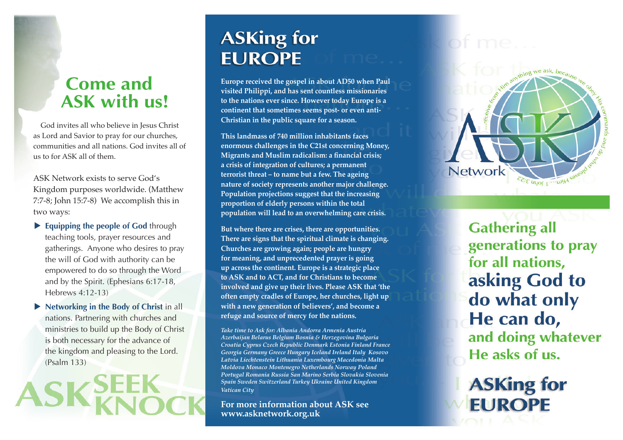## **Come and ASK with us!**

God invites all who believe in Jesus Christ as Lord and Savior to pray for our churches, communities and all nations. God invites all of us to for ASK all of them.

ASK Network exists to serve God's Kingdom purposes worldwide. (Matthew 7:7-8; John 15:7-8) We accomplish this in two ways:

- **Equipping the people of God through** teaching tools, prayer resources and gatherings. Anyone who desires to pray the will of God with authority can be empowered to do so through the Word and by the Spirit. (Ephesians 6:17-18, Hebrews 4:12-13)
- **Networking in the Body of Christ** in all nations. Partnering with churches and ministries to build up the Body of Christ is both necessary for the advance of the kingdom and pleasing to the Lord. (Psalm 133)

# **ASKing for EUROPE**

**Europe received the gospel in about AD50 when Paul visited Philippi, and has sent countless missionaries to the nations ever since. However today Europe is a continent that sometimes seems post- or even anti-Christian in the public square for a season.** 

**This landmass of 740 million inhabitants faces enormous challenges in the C21st concerning Money, Migrants and Muslim radicalism: a financial crisis; a crisis of integration of cultures; a permanent terrorist threat – to name but a few. The ageing nature of society represents another major challenge. Population projections suggest that the increasing proportion of elderly persons within the total population will lead to an overwhelming care crisis.**

**But where there are crises, there are opportunities. There are signs that the spiritual climate is changing. Churches are growing again; people are hungry for meaning, and unprecedented prayer is going up across the continent. Europe is a strategic place to ASK and to ACT, and for Christians to become involved and give up their lives. Please ASK that 'the often empty cradles of Europe, her churches, light up with a new generation of believers', and become a refuge and source of mercy for the nations.**

*Take time to Ask for: Albania Andorra Armenia Austria Azerbaijan Belarus Belgium Bosnia & Herzegovina Bulgaria Croatia Cyprus Czech Republic Denmark Estonia Finland France Georgia Germany Greece Hungary Iceland Ireland Italy Kosovo Latvia Liechtenstein Lithuania Luxembourg Macedonia Malta Moldova Monaco Montenegro Netherlands Norway Poland Portugal Romania Russia San Marino Serbia Slovakia Slovenia Spain Sweden Switzerland Turkey Ukraine United Kingdom Vatican City*

**For more information about ASK see www.asknetwork.org.uk**

thing we ask, because **Network** ER: E UYO[ L ... WIH

> **Gathering all** generations to pray for all nations, asking God to do what only He can do, and doing whatever He asks of us.

**ASKing for EUROPE**